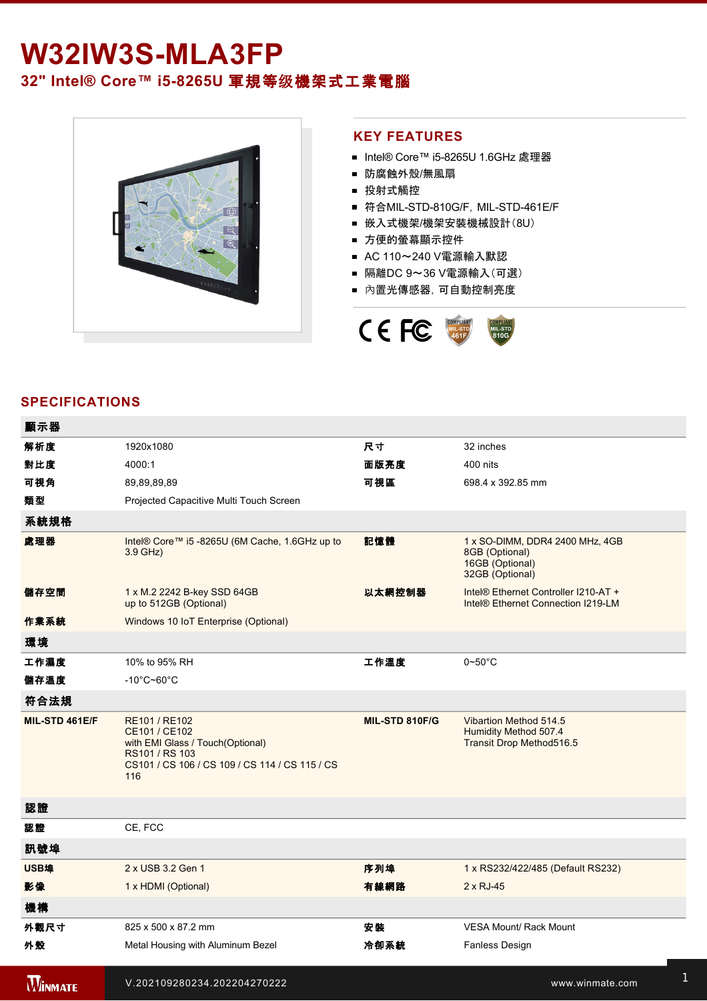# W32IW3S-MLA3FP **32" Intel® Core™ i5-8265U 軍規等级機架式工業電腦**



1 x Driver Company (1981)<br>1 x Driver Company (1981)

#### **KEY FEATURES**

- Intel® Core™ i5-8265U 1.6GHz 處理器
- 防腐蝕外殼/無風扇
- 投射式觸控
- 符合MIL-STD-810G/F, MIL-STD-461E/F
- 嵌入式機架/機架安裝機械設計(8U)
- 方便的螢幕顯示控件
- AC 110~240 V電源輸入默認
- 隔離DC 9~36 V電源輸入(可選)
- 內置光傳感器,可自動控制亮度



#### **SPECIFICATIONS**

| 顯示器            |                                                                                                                                               |                |                                                                                         |
|----------------|-----------------------------------------------------------------------------------------------------------------------------------------------|----------------|-----------------------------------------------------------------------------------------|
| 解析度            | 1920x1080                                                                                                                                     | 尺寸             | 32 inches                                                                               |
| 對比度            | 4000:1                                                                                                                                        | 面版亮度           | 400 nits                                                                                |
| 可視角            | 89,89,89,89                                                                                                                                   | 可視區            | 698.4 x 392.85 mm                                                                       |
| 類型             | Projected Capacitive Multi Touch Screen                                                                                                       |                |                                                                                         |
| 系統規格           |                                                                                                                                               |                |                                                                                         |
| 處理器            | Intel® Core™ i5 -8265U (6M Cache, 1.6GHz up to<br>$3.9$ GHz)                                                                                  | 記憶體            | 1 x SO-DIMM, DDR4 2400 MHz, 4GB<br>8GB (Optional)<br>16GB (Optional)<br>32GB (Optional) |
| 儲存空間           | 1 x M.2 2242 B-key SSD 64GB<br>up to 512GB (Optional)                                                                                         | 以太網控制器         | Intel® Ethernet Controller I210-AT +<br>Intel <sup>®</sup> Ethernet Connection I219-LM  |
| 作業系統           | Windows 10 IoT Enterprise (Optional)                                                                                                          |                |                                                                                         |
| 環境             |                                                                                                                                               |                |                                                                                         |
| 工作濕度           | 10% to 95% RH                                                                                                                                 | 工作溫度           | $0\nthicksim50^{\circ}$ C                                                               |
| 儲存溫度           | $-10^{\circ}$ C~60 $^{\circ}$ C                                                                                                               |                |                                                                                         |
| 符合法規           |                                                                                                                                               |                |                                                                                         |
| MIL-STD 461E/F | RE101 / RE102<br>CE101 / CE102<br>with EMI Glass / Touch(Optional)<br>RS101 / RS 103<br>CS101 / CS 106 / CS 109 / CS 114 / CS 115 / CS<br>116 | MIL-STD 810F/G | Vibartion Method 514.5<br>Humidity Method 507.4<br>Transit Drop Method516.5             |
| 認證             |                                                                                                                                               |                |                                                                                         |
| 認證             | CE, FCC                                                                                                                                       |                |                                                                                         |
| 訊號埠            |                                                                                                                                               |                |                                                                                         |
| <b>USB埠</b>    | 2 x USB 3.2 Gen 1                                                                                                                             | 序列埠            | 1 x RS232/422/485 (Default RS232)                                                       |
| 影像             | 1 x HDMI (Optional)                                                                                                                           | 有線網路           | $2 \times RJ-45$                                                                        |
| 機構             |                                                                                                                                               |                |                                                                                         |
| 外觀尺寸           | 825 x 500 x 87.2 mm                                                                                                                           | 安装             | <b>VESA Mount/ Rack Mount</b>                                                           |
| 外殼             | Metal Housing with Aluminum Bezel                                                                                                             | 冷卻系統           | Fanless Design                                                                          |
| <b>WINMATE</b> | V.202109280234.202204270222                                                                                                                   |                | www.winmate.com                                                                         |